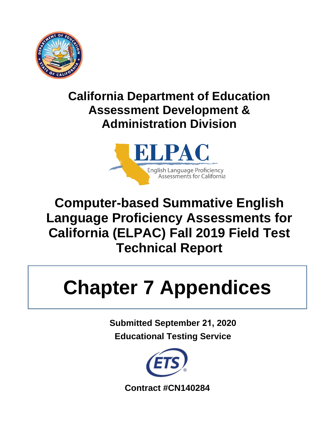

# **California Department of Education Assessment Development & Administration Division**



# **Computer-based Summative English Language Proficiency Assessments for California (ELPAC) Fall 2019 Field Test Technical Report**

# **Chapter 7 Appendices**

**Submitted September 21, 2020 Educational Testing Service** 



**Contract #CN140284**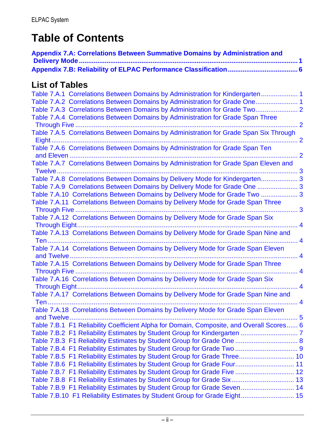# **Table of Contents**

| <b>Appendix 7.A: Correlations Between Summative Domains by Administration and</b>        |  |
|------------------------------------------------------------------------------------------|--|
|                                                                                          |  |
| <b>List of Tables</b>                                                                    |  |
| Table 7.A.1 Correlations Between Domains by Administration for Kindergarten 1            |  |
| Table 7.A.2 Correlations Between Domains by Administration for Grade One 1               |  |
| Table 7.A.3 Correlations Between Domains by Administration for Grade Two 2               |  |
| Table 7.A.4 Correlations Between Domains by Administration for Grade Span Three          |  |
|                                                                                          |  |
| Table 7.A.5 Correlations Between Domains by Administration for Grade Span Six Through    |  |
|                                                                                          |  |
| Table 7.A.6 Correlations Between Domains by Administration for Grade Span Ten            |  |
|                                                                                          |  |
| Table 7.A.7 Correlations Between Domains by Administration for Grade Span Eleven and     |  |
|                                                                                          |  |
| Table 7.A.8 Correlations Between Domains by Delivery Mode for Kindergarten 3             |  |
| Table 7.A.9 Correlations Between Domains by Delivery Mode for Grade One  3               |  |
| Table 7.A.10 Correlations Between Domains by Delivery Mode for Grade Two  3              |  |
| Table 7.A.11 Correlations Between Domains by Delivery Mode for Grade Span Three          |  |
|                                                                                          |  |
| Table 7.A.12 Correlations Between Domains by Delivery Mode for Grade Span Six            |  |
|                                                                                          |  |
| Table 7.A.13 Correlations Between Domains by Delivery Mode for Grade Span Nine and       |  |
|                                                                                          |  |
| Table 7.A.14 Correlations Between Domains by Delivery Mode for Grade Span Eleven         |  |
|                                                                                          |  |
| Table 7.A.15 Correlations Between Domains by Delivery Mode for Grade Span Three          |  |
|                                                                                          |  |
| Table 7.A.16 Correlations Between Domains by Delivery Mode for Grade Span Six            |  |
|                                                                                          |  |
| Table 7.A.17 Correlations Between Domains by Delivery Mode for Grade Span Nine and       |  |
| <b>Ten</b>                                                                               |  |
| Table 7.A.18 Correlations Between Domains by Delivery Mode for Grade Span Eleven         |  |
|                                                                                          |  |
| Table 7.B.1 F1 Reliability Coefficient Alpha for Domain, Composite, and Overall Scores 6 |  |
|                                                                                          |  |
| Table 7.B.3 F1 Reliability Estimates by Student Group for Grade One  8                   |  |
|                                                                                          |  |
| Table 7.B.5 F1 Reliability Estimates by Student Group for Grade Three 10                 |  |
| Table 7.B.6 F1 Reliability Estimates by Student Group for Grade Four 11                  |  |
| Table 7.B.7 F1 Reliability Estimates by Student Group for Grade Five  12                 |  |
| Table 7.B.8 F1 Reliability Estimates by Student Group for Grade Six 13                   |  |
| Table 7.B.9 F1 Reliability Estimates by Student Group for Grade Seven 14                 |  |
| Table 7.B.10 F1 Reliability Estimates by Student Group for Grade Eight 15                |  |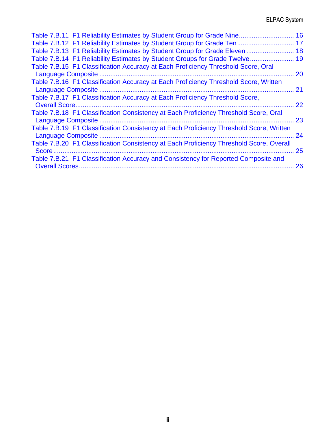| Table 7.B.11 F1 Reliability Estimates by Student Group for Grade Nine 16                |    |
|-----------------------------------------------------------------------------------------|----|
| Table 7.B.12 F1 Reliability Estimates by Student Group for Grade Ten 17                 |    |
| Table 7.B.13 F1 Reliability Estimates by Student Group for Grade Eleven                 | 18 |
| Table 7.B.14 F1 Reliability Estimates by Student Groups for Grade Twelve 19             |    |
| Table 7.B.15 F1 Classification Accuracy at Each Proficiency Threshold Score, Oral       |    |
|                                                                                         | 20 |
| Table 7.B.16 F1 Classification Accuracy at Each Proficiency Threshold Score, Written    |    |
|                                                                                         | 21 |
| Table 7.B.17 F1 Classification Accuracy at Each Proficiency Threshold Score,            |    |
|                                                                                         | 22 |
| Table 7.B.18 F1 Classification Consistency at Each Proficiency Threshold Score, Oral    | 23 |
| Table 7.B.19 F1 Classification Consistency at Each Proficiency Threshold Score, Written |    |
| Language Composite                                                                      | 24 |
| Table 7.B.20 F1 Classification Consistency at Each Proficiency Threshold Score, Overall |    |
| Score                                                                                   | 25 |
| Table 7.B.21 F1 Classification Accuracy and Consistency for Reported Composite and      |    |
|                                                                                         | 26 |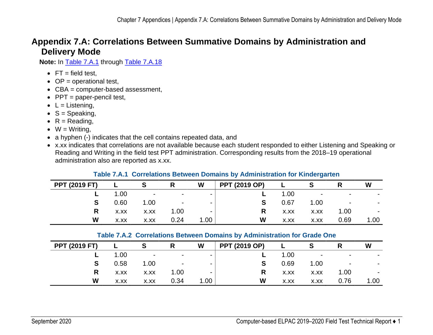# **Appendix 7.A: Correlations Between Summative Domains by Administration and Delivery Mode**

**Note:** In [Table 7.A.1](#page-4-3) through [Table 7.A.18](#page-8-1)

- $\bullet$  FT = field test.
- $\bullet$  OP = operational test,
- CBA = computer-based assessment,
- $\bullet$  PPT = paper-pencil test,
- $\bullet$  L = Listening,
- $S =$  Speaking,
- $R =$  Reading,
- $W = W$ riting,
- <span id="page-4-0"></span>• a hyphen (-) indicates that the cell contains repeated data, and
- x.xx indicates that correlations are not available because each student responded to either Listening and Speaking or Reading and Writing in the field test PPT administration. Corresponding results from the 2018–19 operational administration also are reported as x.xx.

<span id="page-4-3"></span>

| <b>PPT (2019 FT)</b> |      |                         |        | W                 | <b>PPT (2019 OP)</b> |      |                |                | W              |
|----------------------|------|-------------------------|--------|-------------------|----------------------|------|----------------|----------------|----------------|
| L                    | 1.00 | $\sim 100$ km s $^{-1}$ | $\sim$ | $\blacksquare$    |                      | 1.00 | $\blacksquare$ | $\blacksquare$ |                |
| S                    | 0.60 | 1.00                    | $\sim$ | $\sim$            |                      | 0.67 | 1.00           | $\blacksquare$ |                |
| R                    | X.XX | X.XX                    | 1.00   | -                 | R                    | X.XX | X.XX           | 1.00           | $\blacksquare$ |
| W                    | X.XX | X.XX                    | 0.24   | 1.00 <sub>1</sub> | W                    | X.XX | X.XX           | 0.69           | 1.00           |

#### **Table 7.A.1 Correlations Between Domains by Administration for Kindergarten**

#### **Table 7.A.2 Correlations Between Domains by Administration for Grade One**

<span id="page-4-2"></span><span id="page-4-1"></span>

| <b>PPT (2019 FT)</b> |      |                | R                        | W      | <b>PPT (2019 OP)</b> |      |                          |                | W    |
|----------------------|------|----------------|--------------------------|--------|----------------------|------|--------------------------|----------------|------|
|                      | 1.00 | $\blacksquare$ | $\sim$                   | $\sim$ |                      | 1.00 | $\overline{\phantom{a}}$ | $\,$           |      |
| S                    | 0.58 | 1.00           | $\overline{\phantom{a}}$ | $\sim$ | S                    | 0.69 | 1.00                     | $\blacksquare$ |      |
| R                    | X.XX | X.XX           | 1.00                     | -      |                      | X.XX | X.XX                     | 1.00           |      |
| W                    | X.XX | X.XX           | 0.34                     | 1.00   | W                    | X.XX | X.XX                     | 0.76           | 1.00 |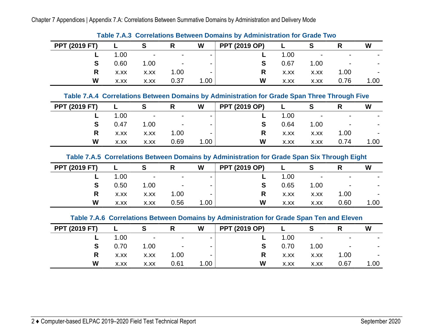Chapter 7 Appendices | Appendix 7.A: Correlations Between Summative Domains by Administration and Delivery Mode

|                      | <b>TADIC TIME OUTCRIDING DUINGER DUINGING BY AGRIFICATION OF AGE.</b> TWO |                |                          |                |                      |      |      |                          |      |  |  |  |  |
|----------------------|---------------------------------------------------------------------------|----------------|--------------------------|----------------|----------------------|------|------|--------------------------|------|--|--|--|--|
| <b>PPT (2019 FT)</b> |                                                                           |                |                          | W              | <b>PPT (2019 OP)</b> |      |      |                          | W    |  |  |  |  |
|                      | 1.00                                                                      | $\blacksquare$ | $\overline{\phantom{0}}$ | $\sim$         |                      | 1.00 |      | $\overline{\phantom{0}}$ |      |  |  |  |  |
| S                    | 0.60                                                                      | 1.00           | $\blacksquare$           | $\blacksquare$ |                      | 0.67 | 1.00 | $\blacksquare$           |      |  |  |  |  |
| R                    | X.XX                                                                      | X.XX           | 1.00                     |                | R                    | X.XX | X.XX | 1.00                     |      |  |  |  |  |
| W                    | X.XX                                                                      | X.XX           | 0.37                     | 1.00           | W                    | X.XX | X.XX | 0.76                     | 1.00 |  |  |  |  |

**Table 7.A.3 Correlations Between Domains by Administration for Grade Two** 

#### **Table 7.A.4 Correlations Between Domains by Administration for Grade Span Three Through Five**

<span id="page-5-0"></span>

| <b>PPT (2019 FT)</b> |      |                          |                          | W      | <b>PPT (2019 OP)</b> |      |                          |                          | W              |
|----------------------|------|--------------------------|--------------------------|--------|----------------------|------|--------------------------|--------------------------|----------------|
|                      | 1.00 | $\overline{\phantom{a}}$ | $\overline{\phantom{a}}$ | $\sim$ |                      | 1.00 | $\overline{\phantom{0}}$ | $\overline{\phantom{0}}$ |                |
| S                    | 0.47 | 1.00                     | $\overline{\phantom{a}}$ | $\sim$ |                      | 0.64 | 1.00                     | $\overline{\phantom{0}}$ | $\blacksquare$ |
| R                    | X.XX | X.XX                     | 1.00                     | $\sim$ | R                    | X.XX | X.XX                     | 1.00                     |                |
| W                    | X.XX | X.XX                     | 0.69                     | 1.00   | W                    | X.XX | X.XX                     | 0.74                     | 1.00           |

#### **Table 7.A.5 Correlations Between Domains by Administration for Grade Span Six Through Eight**

<span id="page-5-1"></span>

| <b>PPT (2019 FT)</b> |      | S                        | R                        | W                        | <b>PPT (2019 OP)</b> |      |                          |                          | W    |
|----------------------|------|--------------------------|--------------------------|--------------------------|----------------------|------|--------------------------|--------------------------|------|
|                      | 1.00 | $\overline{\phantom{a}}$ | $\overline{\phantom{0}}$ | $\sim$                   |                      | 1.00 | $\overline{\phantom{0}}$ | $\overline{\phantom{0}}$ |      |
| S                    | 0.50 | 1.00                     | $\overline{\phantom{0}}$ | $\sim$                   |                      | 0.65 | 1.00                     | $\overline{\phantom{0}}$ |      |
| R                    | X.XX | X.XX                     | 1.00                     | $\overline{\phantom{0}}$ | R                    | X.XX | X.XX                     | 1.00                     |      |
| W                    | X.XX | X.XX                     | 0.56                     | 1.00                     | W                    | X.XX | X.XX                     | 0.60                     | 1.00 |

#### **Table 7.A.6 Correlations Between Domains by Administration for Grade Span Ten and Eleven**

<span id="page-5-3"></span><span id="page-5-2"></span>

| <b>PPT (2019 FT)</b> |      | S              | R              | W                        | <b>PPT (2019 OP)</b> |      |                          |                | W      |
|----------------------|------|----------------|----------------|--------------------------|----------------------|------|--------------------------|----------------|--------|
|                      | 1.00 | $\blacksquare$ | $\sim$         | $\sim$                   |                      | 1.00 | $\overline{\phantom{0}}$ | $\blacksquare$ |        |
| S                    | 0.70 | 1.00           | $\blacksquare$ | $\sim$                   |                      | 0.70 | 1.00                     | $\blacksquare$ | $\sim$ |
| R                    | X.XX | X.XX           | 1.00           | $\overline{\phantom{a}}$ | R                    | X.XX | X.XX                     | 1.00           | ۰.     |
| W                    | X.XX | X.XX           | 0.61           | 1.00                     | W                    | X.XX | X.XX                     | 0.67           | 1.00   |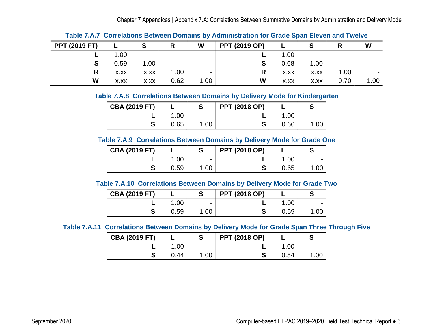Chapter 7 Appendices | Appendix 7.A: Correlations Between Summative Domains by Administration and Delivery Mode

|                      |      |                |      |        | <b>Table T.A.T. Our Glaubits Detween Domains by Auministration for Orage Opan Eleven and Twente</b> |      |                          |                          |      |
|----------------------|------|----------------|------|--------|-----------------------------------------------------------------------------------------------------|------|--------------------------|--------------------------|------|
| <b>PPT (2019 FT)</b> |      |                |      | W      | <b>PPT (2019 OP)</b>                                                                                |      |                          |                          | W    |
|                      | 1.00 | $\blacksquare$ |      | $\sim$ |                                                                                                     | 1.00 | $\overline{\phantom{0}}$ | $\overline{\phantom{a}}$ |      |
|                      | 0.59 | 1.00           |      | $\sim$ |                                                                                                     | 0.68 | 1.00                     | $\overline{\phantom{0}}$ |      |
| R                    | X.XX | X.XX           | 1.00 |        |                                                                                                     | X.XX | X.XX                     | 1.00                     |      |
| W                    | X.XX | X.XX           | 0.62 | 1.00   | W                                                                                                   | X.XX | X.XX                     | 0.70                     | 1.00 |

**Table 7.A.7 Correlations Between Domains by Administration for Grade Span Eleven and Twelve** 

**Table 7.A.8 Correlations Between Domains by Delivery Mode for Kindergarten** 

| <b>CBA (2019 FT)</b> |      |                          | <b>PPT (2018 OP)</b> |      |                          |
|----------------------|------|--------------------------|----------------------|------|--------------------------|
|                      | .00  | $\overline{\phantom{0}}$ |                      | 1.00 | $\overline{\phantom{0}}$ |
|                      | 0.65 | .00                      |                      | 0.66 | 1.00                     |

<span id="page-6-0"></span>**Table 7.A.9 Correlations Between Domains by Delivery Mode for Grade One** 

| <b>CBA (2019 FT)</b> |      |                          | <b>PPT (2018 OP)</b> |      |                          |
|----------------------|------|--------------------------|----------------------|------|--------------------------|
|                      | .00  | $\overline{\phantom{0}}$ |                      | 1.00 | $\overline{\phantom{0}}$ |
|                      | 0.59 | .00                      |                      | 0.65 | 1 በበ                     |

#### **Table 7.A.10 Correlations Between Domains by Delivery Mode for Grade Two**

| <b>CBA (2019 FT)</b> |      |                          | <b>PPT (2018 OP)</b> |      |                          |
|----------------------|------|--------------------------|----------------------|------|--------------------------|
|                      | 1.00 | $\overline{\phantom{0}}$ |                      | 1.00 | $\overline{\phantom{0}}$ |
|                      | 0.59 | .00                      |                      | 0.59 | 1 በበ                     |

# <span id="page-6-4"></span><span id="page-6-3"></span><span id="page-6-2"></span><span id="page-6-1"></span>**Table 7.A.11 Correlations Between Domains by Delivery Mode for Grade Span Three Through Five**

| <b>CBA (2019 FT)</b> |      |                          | <b>PPT (2018 OP)</b> |       |                          |
|----------------------|------|--------------------------|----------------------|-------|--------------------------|
|                      | .00  | $\overline{\phantom{0}}$ |                      | 1 Q Q | $\overline{\phantom{0}}$ |
|                      | N 44 | . വ                      |                      | ገ 54  | .OC                      |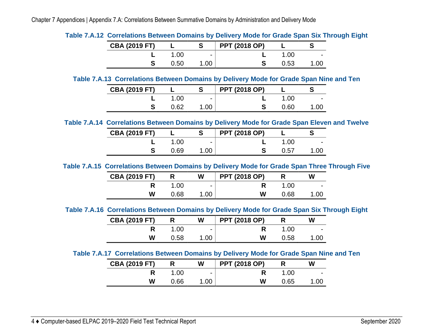| <b>CBA (2019 FT)</b> |      |                          | <b>PPT (2018 OP)</b> |      |                          |
|----------------------|------|--------------------------|----------------------|------|--------------------------|
|                      | .00  | $\overline{\phantom{0}}$ |                      | 1.00 | $\overline{\phantom{a}}$ |
|                      | 0.50 |                          |                      | 0.53 | .00                      |

**Table 7.A.12 Correlations Between Domains by Delivery Mode for Grade Span Six Through Eight** 

#### **Table 7.A.13 Correlations Between Domains by Delivery Mode for Grade Span Nine and Ten**

| <b>CBA (2019 FT)</b> |      |                          | <b>PPT (2018 OP)</b> |      |                          |
|----------------------|------|--------------------------|----------------------|------|--------------------------|
|                      | .00  | $\overline{\phantom{0}}$ |                      | 1.00 | $\overline{\phantom{0}}$ |
|                      | 0.62 | .00                      |                      | 0.60 | .OC                      |

<span id="page-7-0"></span>**Table 7.A.14 Correlations Between Domains by Delivery Mode for Grade Span Eleven and Twelve** 

| <b>CBA (2019 FT)</b> |      |                          | <b>PPT (2018 OP)</b> |      |                          |
|----------------------|------|--------------------------|----------------------|------|--------------------------|
|                      | 1.00 | $\overline{\phantom{0}}$ |                      | 1.00 | $\overline{\phantom{0}}$ |
|                      | 0.69 | .00                      |                      | 0.57 | .00                      |

<span id="page-7-1"></span>**Table 7.A.15 Correlations Between Domains by Delivery Mode for Grade Span Three Through Five** 

| <b>CBA (2019 FT)</b> |      | W                        | <b>PPT (2018 OP)</b> |      | w                        |
|----------------------|------|--------------------------|----------------------|------|--------------------------|
|                      | 1.00 | $\overline{\phantom{0}}$ |                      | 1.00 | $\overline{\phantom{0}}$ |
| W                    | 0.68 | .00                      | W                    | 0.68 | .00                      |

<span id="page-7-2"></span>**Table 7.A.16 Correlations Between Domains by Delivery Mode for Grade Span Six Through Eight** 

| <b>CBA (2019 FT)</b> |      | W                        | <b>PPT (2018 OP)</b> |      | w                        |
|----------------------|------|--------------------------|----------------------|------|--------------------------|
|                      | 1.00 | $\overline{\phantom{0}}$ |                      | 1.00 | $\overline{\phantom{0}}$ |
| w                    | 0.58 | 1.00                     | W                    | 0.58 | .00                      |

# <span id="page-7-5"></span><span id="page-7-4"></span><span id="page-7-3"></span>**Table 7.A.17 Correlations Between Domains by Delivery Mode for Grade Span Nine and Ten**

| <b>CBA (2019 FT)</b> |      | W                        | <b>PPT (2018 OP)</b> |      | W                        |
|----------------------|------|--------------------------|----------------------|------|--------------------------|
|                      | .00  | $\overline{\phantom{0}}$ |                      | .00  | $\overline{\phantom{0}}$ |
| W                    | 0.66 | .00                      | W                    | 0.65 | .00                      |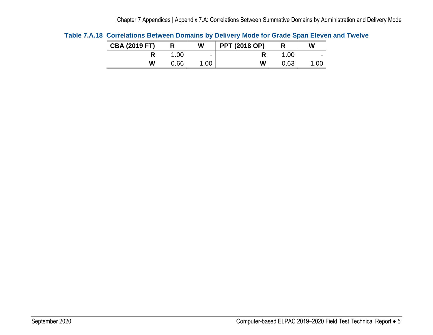| <b>CBA (2019 FT)</b> |      | W                        | <b>PPT (2018 OP)</b> |               | W                        |
|----------------------|------|--------------------------|----------------------|---------------|--------------------------|
|                      | .00  | $\overline{\phantom{0}}$ |                      | $^{\circ}.00$ | $\overline{\phantom{0}}$ |
| w                    | 0.66 | .00                      | W                    | 0.63          | .OC                      |

<span id="page-8-1"></span><span id="page-8-0"></span>**Table 7.A.18 Correlations Between Domains by Delivery Mode for Grade Span Eleven and Twelve**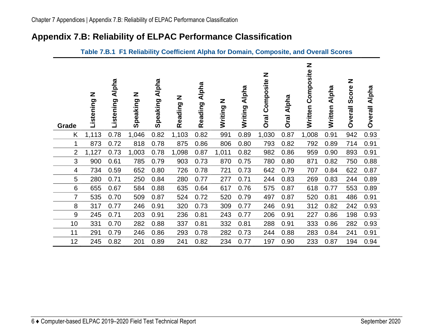# **Appendix 7.B: Reliability of ELPAC Performance Classification**

<span id="page-9-1"></span><span id="page-9-0"></span>

| Grade          | Z<br>Listening | Alpha<br>Listening | Z<br>Speaking | <b>Alpha</b><br>Speaking | Z<br>Reading | <b>Alpha</b><br>Reading | Z<br>Writing | <b>Alpha</b><br>Writing | Z<br>Composite<br><b>Oral</b> | <b>Alpha</b><br><b>Oral</b> | Z<br>Composite<br>Written | Alpha<br>Written | Z<br>Score<br><b>Overall</b> | Alpha<br><b>Overall</b> |
|----------------|----------------|--------------------|---------------|--------------------------|--------------|-------------------------|--------------|-------------------------|-------------------------------|-----------------------------|---------------------------|------------------|------------------------------|-------------------------|
| K              | 1,113          | 0.78               | 1,046         | 0.82                     | 1,103        | 0.82                    | 991          | 0.89                    | 1,030                         | 0.87                        | 1,008                     | 0.91             | 942                          | 0.93                    |
| 1              | 873            | 0.72               | 818           | 0.78                     | 875          | 0.86                    | 806          | 0.80                    | 793                           | 0.82                        | 792                       | 0.89             | 714                          | 0.91                    |
| $\overline{2}$ | 1,127          | 0.73               | 1,003         | 0.78                     | 1,098        | 0.87                    | 1,011        | 0.82                    | 982                           | 0.86                        | 959                       | 0.90             | 893                          | 0.91                    |
| 3              | 900            | 0.61               | 785           | 0.79                     | 903          | 0.73                    | 870          | 0.75                    | 780                           | 0.80                        | 871                       | 0.82             | 750                          | 0.88                    |
| 4              | 734            | 0.59               | 652           | 0.80                     | 726          | 0.78                    | 721          | 0.73                    | 642                           | 0.79                        | 707                       | 0.84             | 622                          | 0.87                    |
| 5              | 280            | 0.71               | 250           | 0.84                     | 280          | 0.77                    | 277          | 0.71                    | 244                           | 0.83                        | 269                       | 0.83             | 244                          | 0.89                    |
| 6              | 655            | 0.67               | 584           | 0.88                     | 635          | 0.64                    | 617          | 0.76                    | 575                           | 0.87                        | 618                       | 0.77             | 553                          | 0.89                    |
| $\overline{7}$ | 535            | 0.70               | 509           | 0.87                     | 524          | 0.72                    | 520          | 0.79                    | 497                           | 0.87                        | 520                       | 0.81             | 486                          | 0.91                    |
| 8              | 317            | 0.77               | 246           | 0.91                     | 320          | 0.73                    | 309          | 0.77                    | 246                           | 0.91                        | 312                       | 0.82             | 242                          | 0.93                    |
| 9              | 245            | 0.71               | 203           | 0.91                     | 236          | 0.81                    | 243          | 0.77                    | 206                           | 0.91                        | 227                       | 0.86             | 198                          | 0.93                    |
| 10             | 331            | 0.70               | 282           | 0.88                     | 337          | 0.81                    | 332          | 0.81                    | 288                           | 0.91                        | 333                       | 0.86             | 282                          | 0.93                    |
| 11             | 291            | 0.79               | 246           | 0.86                     | 293          | 0.78                    | 282          | 0.73                    | 244                           | 0.88                        | 283                       | 0.84             | 241                          | 0.91                    |
| 12             | 245            | 0.82               | 201           | 0.89                     | 241          | 0.82                    | 234          | 0.77                    | 197                           | 0.90                        | 233                       | 0.87             | 194                          | 0.94                    |

## **Table 7.B.1 F1 Reliability Coefficient Alpha for Domain, Composite, and Overall Scores**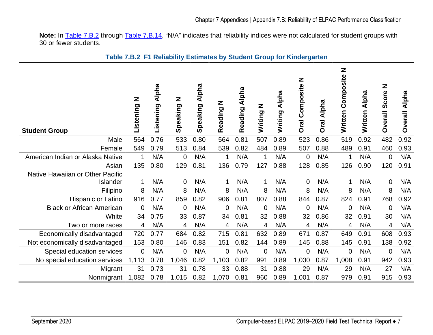**Note:** In [Table 7.B.2](#page-10-1) through [Table 7.B.14,](#page-22-1) "N/A" indicates that reliability indices were not calculated for student groups with 30 or fewer students.

<span id="page-10-1"></span><span id="page-10-0"></span>

| <b>Student Group</b>             | Z<br>Listening | Listening Alpha | Z<br>Speaking  | Speaking Alpha | Reading N      | Reading Alpha | Z<br>Writing   | Alpha<br>Writing | Z<br>Composite<br><b>Oral</b> | Alpha<br><b>Oral</b> | Z<br>Written Composite | Written Alpha | Z<br>Score<br><b>Dverall</b> | <b>Alpha</b><br><b>Overall</b> |
|----------------------------------|----------------|-----------------|----------------|----------------|----------------|---------------|----------------|------------------|-------------------------------|----------------------|------------------------|---------------|------------------------------|--------------------------------|
| Male                             | 564            | 0.76            | 533            | 0.80           | 564            | 0.81          | 507            | 0.89             | 523                           | 0.86                 | 519                    | 0.92          | 482                          | 0.92                           |
| Female                           | 549            | 0.79            | 513            | 0.84           | 539            | 0.82          | 484            | 0.89             | 507                           | 0.88                 | 489                    | 0.91          | 460                          | 0.93                           |
| American Indian or Alaska Native | 1              | N/A             | 0              | N/A            | 1              | N/A           | 1              | N/A              | $\mathbf 0$                   | N/A                  | 1                      | N/A           | $\mathbf 0$                  | N/A                            |
| Asian                            | 135            | 0.80            | 129            | 0.81           | 136            | 0.79          | 127            | 0.88             | 128                           | 0.85                 | 126                    | 0.90          | 120                          | 0.91                           |
| Native Hawaiian or Other Pacific |                |                 |                |                |                |               |                |                  |                               |                      |                        |               |                              |                                |
| Islander                         | 1              | N/A             | $\mathbf 0$    | N/A            | 1              | N/A           | 1              | N/A              | $\mathbf 0$                   | N/A                  | 1                      | N/A           | $\mathbf 0$                  | N/A                            |
| Filipino                         | 8              | N/A             | 8              | N/A            | 8              | N/A           | 8              | N/A              | 8                             | N/A                  | 8                      | N/A           | 8                            | N/A                            |
| Hispanic or Latino               | 916            | 0.77            | 859            | 0.82           | 906            | 0.81          | 807            | 0.88             | 844                           | 0.87                 | 824                    | 0.91          | 768                          | 0.92                           |
| <b>Black or African American</b> | $\mathbf 0$    | N/A             | 0              | N/A            | $\mathbf 0$    | N/A           | 0              | N/A              | $\mathbf 0$                   | N/A                  | $\mathbf 0$            | N/A           | $\mathbf 0$                  | N/A                            |
| White                            | 34             | 0.75            | 33             | 0.87           | 34             | 0.81          | 32             | 0.88             | 32                            | 0.86                 | 32                     | 0.91          | 30                           | N/A                            |
| Two or more races                | 4              | N/A             | 4              | N/A            | 4              | N/A           | $\overline{4}$ | N/A              | 4                             | N/A                  | 4                      | N/A           | 4                            | N/A                            |
| Economically disadvantaged       | 720            | 0.77            | 684            | 0.82           | 715            | 0.81          | 632            | 0.89             | 671                           | 0.87                 | 649                    | 0.91          | 608                          | 0.93                           |
| Not economically disadvantaged   | 153            | 0.80            | 146            | 0.83           | 151            | 0.82          | 144            | 0.89             | 145                           | 0.88                 | 145                    | 0.91          | 138                          | 0.92                           |
| Special education services       | $\mathbf 0$    | N/A             | $\overline{0}$ | N/A            | $\overline{0}$ | N/A           | $\mathbf 0$    | N/A              | $\mathbf 0$                   | N/A                  | $\overline{0}$         | N/A           | $\mathbf 0$                  | N/A                            |
| No special education services    | 1,113          | 0.78            | 1,046          | 0.82           | 1,103          | 0.82          | 991            | 0.89             | 1,030                         | 0.87                 | 1,008                  | 0.91          | 942                          | 0.93                           |
| Migrant                          | 31             | 0.73            | 31             | 0.78           | 33             | 0.88          | 31             | 0.88             | 29                            | N/A                  | 29                     | N/A           | 27                           | N/A                            |
| Nonmigrant                       | 1,082          | 0.78            | 1,015          | 0.82           | 1,070          | 0.81          | 960            | 0.89             | 1,001                         | 0.87                 | 979                    | 0.91          | 915                          | 0.93                           |

# **Table 7.B.2 F1 Reliability Estimates by Student Group for Kindergarten**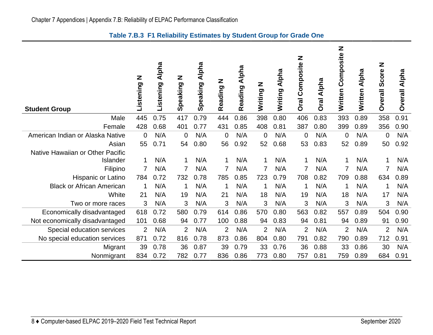<span id="page-11-0"></span>

| <b>Student Group</b>             | z<br>Listening | <b>Alpha</b><br>Listening | Z<br>Speaking  | <b>Alpha</b><br>Speaking | Z<br>Reading   | Alpha<br>Reading | Z<br>Writing   | <b>Alpha</b><br>Writing | Z<br>Composite<br><b>Oral</b> | Alpha<br><b>Oral</b> | Z<br>Composite<br>Written | <b>Alpha</b><br>Written | Z<br>Score<br><b>Dverall</b> | Alpha<br><b>Overall</b> |
|----------------------------------|----------------|---------------------------|----------------|--------------------------|----------------|------------------|----------------|-------------------------|-------------------------------|----------------------|---------------------------|-------------------------|------------------------------|-------------------------|
| Male                             | 445            | 0.75                      | 417            | 0.79                     | 444            | 0.86             | 398            | 0.80                    | 406                           | 0.83                 | 393                       | 0.89                    | 358                          | 0.91                    |
| Female                           | 428            | 0.68                      | 401            | 0.77                     | 431            | 0.85             | 408            | 0.81                    | 387                           | 0.80                 | 399                       | 0.89                    | 356                          | 0.90                    |
| American Indian or Alaska Native | $\Omega$       | N/A                       | $\mathbf 0$    | N/A                      | $\overline{0}$ | N/A              | 0              | N/A                     | $\mathbf 0$                   | N/A                  | $\mathbf 0$               | N/A                     | $\mathbf 0$                  | N/A                     |
| Asian                            | 55             | 0.71                      | 54             | 0.80                     | 56             | 0.92             | 52             | 0.68                    | 53                            | 0.83                 | 52                        | 0.89                    | 50                           | 0.92                    |
| Native Hawaiian or Other Pacific |                |                           |                |                          |                |                  |                |                         |                               |                      |                           |                         |                              |                         |
| Islander                         | 1              | N/A                       | -1             | N/A                      | 1              | N/A              |                | N/A                     | 1                             | N/A                  | 1                         | N/A                     | 1                            | N/A                     |
| Filipino                         |                | N/A                       |                | N/A                      | 7              | N/A              | 7              | N/A                     | 7                             | N/A                  | 7                         | N/A                     | $\overline{7}$               | N/A                     |
| Hispanic or Latino               | 784            | 0.72                      | 732            | 0.78                     | 785            | 0.85             | 723            | 0.79                    | 708                           | 0.82                 | 709                       | 0.88                    | 634                          | 0.89                    |
| <b>Black or African American</b> |                | N/A                       | -1             | N/A                      | -1             | N/A              |                | N/A                     | 1                             | N/A                  | 1                         | N/A                     | 1                            | N/A                     |
| White                            | 21             | N/A                       | 19             | N/A                      | 21             | N/A              | 18             | N/A                     | 19                            | N/A                  | 18                        | N/A                     | 17                           | N/A                     |
| Two or more races                | 3              | N/A                       | 3              | N/A                      | 3              | N/A              | 3              | N/A                     | 3                             | N/A                  | 3                         | N/A                     | 3                            | N/A                     |
| Economically disadvantaged       | 618            | 0.72                      | 580            | 0.79                     | 614            | 0.86             | 570            | 0.80                    | 563                           | 0.82                 | 557                       | 0.89                    | 504                          | 0.90                    |
| Not economically disadvantaged   | 101            | 0.68                      | 94             | 0.77                     | 100            | 0.88             | 94             | 0.83                    | 94                            | 0.81                 | 94                        | 0.89                    | 91                           | 0.90                    |
| Special education services       | $\overline{2}$ | N/A                       | $\overline{2}$ | N/A                      | $\overline{2}$ | N/A              | $\overline{2}$ | N/A                     | $\overline{2}$                | N/A                  | $\overline{2}$            | N/A                     | $\overline{2}$               | N/A                     |
| No special education services    | 871            | 0.72                      | 816            | 0.78                     | 873            | 0.86             | 804            | 0.80                    | 791                           | 0.82                 | 790                       | 0.89                    | 712                          | 0.91                    |
| Migrant                          | 39             | 0.78                      | 36             | 0.87                     | 39             | 0.79             | 33             | 0.76                    | 36                            | 0.88                 | 33                        | 0.86                    | 30                           | N/A                     |
| Nonmigrant                       | 834            | 0.72                      | 782            | 0.77                     | 836            | 0.86             | 773            | 0.80                    | 757                           | 0.81                 | 759                       | 0.89                    | 684                          | 0.91                    |

# **Table 7.B.3 F1 Reliability Estimates by Student Group for Grade One**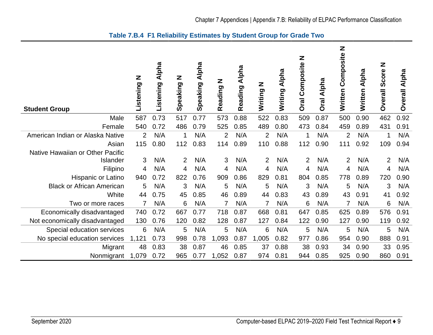<span id="page-12-0"></span>

| <b>Student Group</b>             | z<br>Listening | <b>Alpha</b><br>Listening | Z<br>Speaking  | Alpha<br>Speaking | Z<br>Reading   | Alpha<br>Reading | <b>N</b><br>Writing | Writing Alpha | Z<br>Composite<br><b>Oral</b> | Alpha<br>Oral | Z<br>Written Composite | Alpha<br>Written | Z<br>Score<br><b>Overall</b> | Alpha<br><b>Overall</b> |
|----------------------------------|----------------|---------------------------|----------------|-------------------|----------------|------------------|---------------------|---------------|-------------------------------|---------------|------------------------|------------------|------------------------------|-------------------------|
| Male                             | 587            | 0.73                      | 517            | 0.77              | 573            | 0.88             | 522                 | 0.83          | 509                           | 0.87          | 500                    | 0.90             | 462                          | 0.92                    |
| Female                           | 540            | 0.72                      | 486            | 0.79              | 525            | 0.85             | 489                 | 0.80          | 473                           | 0.84          | 459                    | 0.89             | 431                          | 0.91                    |
| American Indian or Alaska Native | $\overline{2}$ | N/A                       | 1              | N/A               | $\overline{2}$ | N/A              | $\overline{2}$      | N/A           | 1                             | N/A           | $\overline{2}$         | N/A              | 1                            | N/A                     |
| Asian                            | 115            | 0.80                      | 112            | 0.83              | 114            | 0.89             | 110                 | 0.88          | 112                           | 0.90          | 111                    | 0.92             | 109                          | 0.94                    |
| Native Hawaiian or Other Pacific |                |                           |                |                   |                |                  |                     |               |                               |               |                        |                  |                              |                         |
| Islander                         | 3              | N/A                       | $\overline{2}$ | N/A               | 3              | N/A              | $\overline{2}$      | N/A           | 2                             | N/A           | 2                      | N/A              | $\overline{2}$               | N/A                     |
| Filipino                         | 4              | N/A                       | 4              | N/A               | 4              | N/A              | 4                   | N/A           | 4                             | N/A           | 4                      | N/A              | 4                            | N/A                     |
| Hispanic or Latino               | 940            | 0.72                      | 822            | 0.76              | 909            | 0.86             | 829                 | 0.81          | 804                           | 0.85          | 778                    | 0.89             | 720                          | 0.90                    |
| <b>Black or African American</b> | 5              | N/A                       | 3              | N/A               | 5              | N/A              | 5                   | N/A           | 3                             | N/A           | 5                      | N/A              | 3                            | N/A                     |
| White                            | 44             | 0.75                      | 45             | 0.85              | 46             | 0.89             | 44                  | 0.83          | 43                            | 0.89          | 43                     | 0.91             | 41                           | 0.92                    |
| Two or more races                | 7              | N/A                       | 6              | N/A               | $\overline{7}$ | N/A              | $\overline{7}$      | N/A           | 6                             | N/A           | $\overline{7}$         | N/A              | 6                            | N/A                     |
| Economically disadvantaged       | 740            | 0.72                      | 667            | 0.77              | 718            | 0.87             | 668                 | 0.81          | 647                           | 0.85          | 625                    | 0.89             | 576                          | 0.91                    |
| Not economically disadvantaged   | 130            | 0.76                      | 120            | 0.82              | 128            | 0.87             | 127                 | 0.84          | 122                           | 0.90          | 127                    | 0.90             | 119                          | 0.92                    |
| Special education services       | 6              | N/A                       | 5              | N/A               | 5              | N/A              | 6                   | N/A           | 5                             | N/A           | 5                      | N/A              | 5                            | N/A                     |
| No special education services    | 1,121          | 0.73                      | 998            | 0.78              | 1,093          | 0.87             | 1,005               | 0.82          | 977                           | 0.86          | 954                    | 0.90             | 888                          | 0.91                    |
| Migrant                          | 48             | 0.83                      | 38             | 0.87              | 46             | 0.85             | 37                  | 0.88          | 38                            | 0.93          | 34                     | 0.90             | 33                           | 0.95                    |
| Nonmigrant                       | 1,079          | 0.72                      | 965            | 0.77              | 1,052          | 0.87             | 974                 | 0.81          | 944                           | 0.85          | 925                    | 0.90             | 860                          | 0.91                    |

# **Table 7.B.4 F1 Reliability Estimates by Student Group for Grade Two**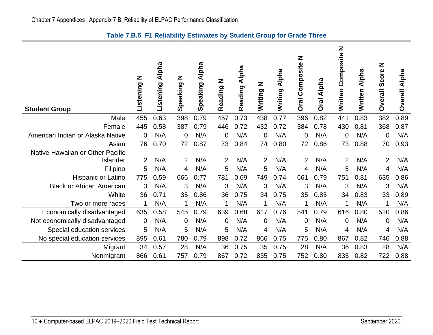<span id="page-13-0"></span>

| <b>Student Group</b>             | Z<br>Listening | <b>Alpha</b><br>Listening | Z<br>Speaking  | Alpha<br>Speaking | Z<br>Reading   | Alpha<br>Reading | Z<br>Writing I | Alpha<br>Writing | Z<br>Composite<br><b>Oral</b> | Alpha<br>Oral | Z<br>Composite<br>Written | Alpha<br><b>Written</b> | Z<br>Score<br><b>Overall</b> | Alpha<br><b>Overall</b> |
|----------------------------------|----------------|---------------------------|----------------|-------------------|----------------|------------------|----------------|------------------|-------------------------------|---------------|---------------------------|-------------------------|------------------------------|-------------------------|
| Male                             | 455            | 0.63                      | 398            | 0.79              | 457            | 0.73             | 438            | 0.77             | 396                           | 0.82          | 441                       | 0.83                    | 382                          | 0.89                    |
| Female                           | 445            | 0.58                      | 387            | 0.79              | 446            | 0.72             | 432            | 0.72             | 384                           | 0.78          | 430                       | 0.81                    | 368                          | 0.87                    |
| American Indian or Alaska Native | 0              | N/A                       | $\mathbf 0$    | N/A               | $\overline{0}$ | N/A              | 0              | N/A              | $\mathbf 0$                   | N/A           | 0                         | N/A                     | 0                            | N/A                     |
| Asian                            | 76             | 0.70                      | 72             | 0.87              | 73             | 0.84             | 74             | 0.80             | 72                            | 0.86          | 73                        | 0.88                    | 70                           | 0.93                    |
| Native Hawaiian or Other Pacific |                |                           |                |                   |                |                  |                |                  |                               |               |                           |                         |                              |                         |
| Islander                         | 2              | N/A                       | $\overline{2}$ | N/A               | 2              | N/A              | 2              | N/A              | 2                             | N/A           | $\overline{2}$            | N/A                     | $\overline{2}$               | N/A                     |
| Filipino                         | 5              | N/A                       | 4              | N/A               | 5              | N/A              | 5              | N/A              | 4                             | N/A           | 5                         | N/A                     | 4                            | N/A                     |
| <b>Hispanic or Latino</b>        | 775            | 0.59                      | 666            | 0.77              | 781            | 0.69             | 749            | 0.74             | 661                           | 0.79          | 751                       | 0.81                    | 635                          | 0.86                    |
| <b>Black or African American</b> | 3              | N/A                       | 3              | N/A               | 3              | N/A              | 3              | N/A              | 3                             | N/A           | 3                         | N/A                     | 3                            | N/A                     |
| White                            | 36             | 0.71                      | 35             | 0.86              | 36             | 0.75             | 34             | 0.75             | 35                            | 0.85          | 34                        | 0.83                    | 33                           | 0.89                    |
| Two or more races                |                | N/A                       | 1              | N/A               | 1              | N/A              | 1              | N/A              | 1                             | N/A           | 1                         | N/A                     | 1                            | N/A                     |
| Economically disadvantaged       | 635            | 0.58                      | 545            | 0.79              | 639            | 0.68             | 617            | 0.76             | 541                           | 0.79          | 616                       | 0.80                    | 520                          | 0.86                    |
| Not economically disadvantaged   | 0              | N/A                       | 0              | N/A               | $\mathbf 0$    | N/A              | 0              | N/A              | $\mathbf 0$                   | N/A           | 0                         | N/A                     | 0                            | N/A                     |
| Special education services       | 5              | N/A                       | 5              | N/A               | 5              | N/A              | 4              | N/A              | 5                             | N/A           | 4                         | N/A                     | 4                            | N/A                     |
| No special education services    | 895            | 0.61                      | 780            | 0.79              | 898            | 0.72             | 866            | 0.75             | 775                           | 0.80          | 867                       | 0.82                    | 746                          | 0.88                    |
| Migrant                          | 34             | 0.57                      | 28             | N/A               | 36             | 0.75             | 35             | 0.75             | 28                            | N/A           | 36                        | 0.83                    | 28                           | N/A                     |
| Nonmigrant                       | 866            | 0.61                      | 757            | 0.79              | 867            | 0.72             | 835            | 0.75             | 752                           | 0.80          | 835                       | 0.82                    | 722                          | 0.88                    |

# **Table 7.B.5 F1 Reliability Estimates by Student Group for Grade Three**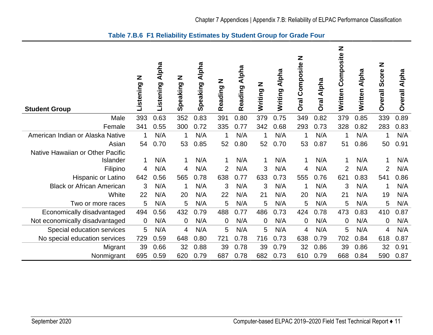<span id="page-14-0"></span>

| <b>Student Group</b>             | Z<br>Listening | <b>Alpha</b><br>Listening | Z<br>Speaking  | Alpha<br>Speaking | Z<br>Reading   | <b>Alpha</b><br>Reading | N DUILLIN | <b>Alpha</b><br>Writing | Z<br>Composite<br><b>Oral</b> | Alpha<br><b>Oral</b> | Z<br>Written Composite | Alpha<br>Written | Z<br>Score<br><b>Overall</b> | Alpha<br><b>Overall</b> |
|----------------------------------|----------------|---------------------------|----------------|-------------------|----------------|-------------------------|-----------|-------------------------|-------------------------------|----------------------|------------------------|------------------|------------------------------|-------------------------|
| Male                             | 393            | 0.63                      | 352            | 0.83              | 391            | 0.80                    | 379       | 0.75                    | 349                           | 0.82                 | 379                    | 0.85             | 339                          | 0.89                    |
| Female                           | 341            | 0.55                      | 300            | 0.72              | 335            | 0.77                    | 342       | 0.68                    | 293                           | 0.73                 | 328                    | 0.82             | 283                          | 0.83                    |
| American Indian or Alaska Native |                | N/A                       | 1              | N/A               | 1              | N/A                     |           | N/A                     | 1                             | N/A                  | 1                      | N/A              | 1                            | N/A                     |
| Asian                            | 54             | 0.70                      | 53             | 0.85              | 52             | 0.80                    | 52        | 0.70                    | 53                            | 0.87                 | 51                     | 0.86             | 50                           | 0.91                    |
| Native Hawaiian or Other Pacific |                |                           |                |                   |                |                         |           |                         |                               |                      |                        |                  |                              |                         |
| Islander                         | 1              | N/A                       | 1              | N/A               | 1              | N/A                     | 1         | N/A                     | 1                             | N/A                  | 1                      | N/A              | $\mathbf 1$                  | N/A                     |
| Filipino                         | 4              | N/A                       | 4              | N/A               | 2              | N/A                     | 3         | N/A                     | 4                             | N/A                  | $\overline{2}$         | N/A              | $\overline{2}$               | N/A                     |
| Hispanic or Latino               | 642            | 0.56                      | 565            | 0.78              | 638            | 0.77                    | 633       | 0.73                    | 555                           | 0.76                 | 621                    | 0.83             | 541                          | 0.86                    |
| <b>Black or African American</b> | 3              | N/A                       | 1              | N/A               | 3              | N/A                     | 3         | N/A                     | 1                             | N/A                  | 3                      | N/A              | 1                            | N/A                     |
| White                            | 22             | N/A                       | 20             | N/A               | 22             | N/A                     | 21        | N/A                     | 20                            | N/A                  | 21                     | N/A              | 19                           | N/A                     |
| Two or more races                | 5              | N/A                       | 5              | N/A               | 5              | N/A                     | 5         | N/A                     | 5                             | N/A                  | 5                      | N/A              | 5                            | N/A                     |
| Economically disadvantaged       | 494            | 0.56                      | 432            | 0.79              | 488            | 0.77                    | 486       | 0.73                    | 424                           | 0.78                 | 473                    | 0.83             | 410                          | 0.87                    |
| Not economically disadvantaged   | $\mathbf 0$    | N/A                       | $\overline{0}$ | N/A               | $\overline{0}$ | N/A                     | $\Omega$  | N/A                     | $\mathbf 0$                   | N/A                  | 0                      | N/A              | 0                            | N/A                     |
| Special education services       | 5              | N/A                       | 4              | N/A               | 5              | N/A                     | 5         | N/A                     | 4                             | N/A                  | 5                      | N/A              | 4                            | N/A                     |
| No special education services    | 729            | 0.59                      | 648            | 0.80              | 721            | 0.78                    | 716       | 0.73                    | 638                           | 0.79                 | 702                    | 0.84             | 618                          | 0.87                    |
| Migrant                          | 39             | 0.66                      | 32             | 0.88              | 39             | 0.78                    | 39        | 0.79                    | 32                            | 0.86                 | 39                     | 0.86             | 32                           | 0.91                    |
| Nonmigrant                       | 695            | 0.59                      | 620            | 0.79              | 687            | 0.78                    | 682       | 0.73                    | 610                           | 0.79                 | 668                    | 0.84             | 590                          | 0.87                    |

# **Table 7.B.6 F1 Reliability Estimates by Student Group for Grade Four**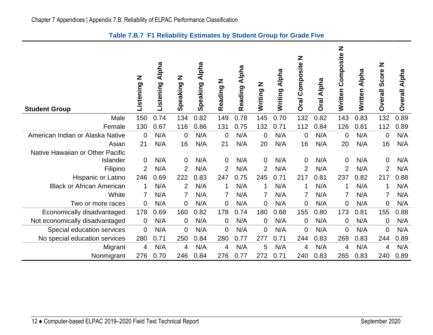<span id="page-15-0"></span>

| <b>Student Group</b>             | Ζ<br>Listening | <b>Alpha</b><br>Listening | Ζ<br>Speaking  | <b>Alpha</b><br>Speaking | Z<br>Reading   | Alpha<br>Reading | Z gritiz       | <b>Alpha</b><br>Writing | Z<br>Composite<br><b>Oral</b> | Alpha<br>Oral | Z<br>Composite<br>Written | Alpha<br>Written | Z<br>Score<br><b>Overall</b> | Alpha<br><b>Overall</b> |
|----------------------------------|----------------|---------------------------|----------------|--------------------------|----------------|------------------|----------------|-------------------------|-------------------------------|---------------|---------------------------|------------------|------------------------------|-------------------------|
| Male                             | 150            | 0.74                      | 134            | 0.82                     | 149            | 0.78             | 145            | 0.70                    | 132                           | 0.82          | 143                       | 0.83             | 132                          | 0.89                    |
| Female                           | 130            | 0.67                      | 116            | 0.86                     | 131            | 0.75             | 132            | 0.71                    | 112                           | 0.84          | 126                       | 0.81             | 112                          | 0.89                    |
| American Indian or Alaska Native | $\overline{0}$ | N/A                       | $\overline{0}$ | N/A                      | $\overline{0}$ | N/A              | 0              | N/A                     | $\Omega$                      | N/A           | 0                         | N/A              | 0                            | N/A                     |
| Asian                            | 21             | N/A                       | 16             | N/A                      | 21             | N/A              | 20             | N/A                     | 16                            | N/A           | 20                        | N/A              | 16                           | N/A                     |
| Native Hawaiian or Other Pacific |                |                           |                |                          |                |                  |                |                         |                               |               |                           |                  |                              |                         |
| Islander                         | $\Omega$       | N/A                       | $\overline{0}$ | N/A                      | 0              | N/A              | $\mathbf 0$    | N/A                     | $\Omega$                      | N/A           | 0                         | N/A              | 0                            | N/A                     |
| Filipino                         | 2              | N/A                       | $\overline{2}$ | N/A                      | 2              | N/A              | $\overline{2}$ | N/A                     | 2                             | N/A           | 2                         | N/A              | $\overline{2}$               | N/A                     |
| <b>Hispanic or Latino</b>        | 246            | 0.69                      | 222            | 0.83                     | 247            | 0.75             | 245            | 0.71                    | 217                           | 0.81          | 237                       | 0.82             | 217                          | 0.88                    |
| <b>Black or African American</b> |                | N/A                       | 2              | N/A                      |                | N/A              | 1              | N/A                     | 1                             | N/A           | 1                         | N/A              | 1                            | N/A                     |
| White                            | 7              | N/A                       |                | N/A                      | 7              | N/A              | 7              | N/A                     | 7                             | N/A           | 7                         | N/A              | 7                            | N/A                     |
| Two or more races                | 0              | N/A                       | $\overline{0}$ | N/A                      | 0              | N/A              | 0              | N/A                     | $\Omega$                      | N/A           | 0                         | N/A              | 0                            | N/A                     |
| Economically disadvantaged       | 178            | 0.69                      | 160            | 0.82                     | 178            | 0.74             | 180            | 0.68                    | 155                           | 0.80          | 173                       | 0.81             | 155                          | 0.88                    |
| Not economically disadvantaged   | 0              | N/A                       | $\overline{0}$ | N/A                      | $\overline{0}$ | N/A              | $\mathbf 0$    | N/A                     | $\mathbf 0$                   | N/A           | 0                         | N/A              | 0                            | N/A                     |
| Special education services       | 0              | N/A                       | $\overline{0}$ | N/A                      | $\mathbf 0$    | N/A              | 0              | N/A                     | 0                             | N/A           | 0                         | N/A              | $\overline{0}$               | N/A                     |
| No special education services    | 280            | 0.71                      | 250            | 0.84                     | 280            | 0.77             | 277            | 0.71                    | 244                           | 0.83          | 269                       | 0.83             | 244                          | 0.89                    |
| Migrant                          | 4              | N/A                       | 4              | N/A                      | 4              | N/A              | 5              | N/A                     | 4                             | N/A           | 4                         | N/A              | 4                            | N/A                     |
| Nonmigrant                       | 276            | 0.70                      | 246            | 0.84                     | 276            | 0.77             | 272            | 0.71                    | 240                           | 0.83          | 265                       | 0.83             | 240                          | 0.89                    |

# **Table 7.B.7 F1 Reliability Estimates by Student Group for Grade Five**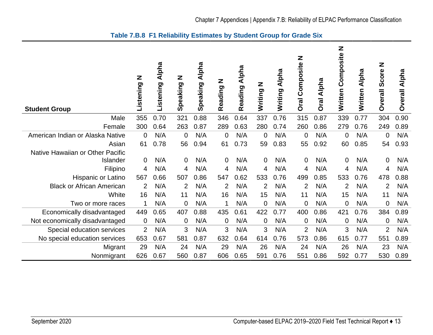<span id="page-16-0"></span>

| <b>Student Group</b>             | Z<br>Listening | Alpha<br>Listening | Z<br>Speaking  | Alpha<br>Speaking | Z<br>Reading   | Alpha<br>Reading | Writing N      | Alpha<br>Writing | Z<br>Composite<br><b>Dral</b> | Alpha<br><b>Oral</b> | Z<br>Composite<br>Written | Alpha<br>Written | Z<br>Score<br><b>Overall</b> | Alpha<br><b>Overall</b> |
|----------------------------------|----------------|--------------------|----------------|-------------------|----------------|------------------|----------------|------------------|-------------------------------|----------------------|---------------------------|------------------|------------------------------|-------------------------|
| Male                             | 355            | 0.70               | 321            | 0.88              | 346            | 0.64             | 337            | 0.76             | 315                           | 0.87                 | 339                       | 0.77             | 304                          | 0.90                    |
| Female                           | 300            | 0.64               | 263            | 0.87              | 289            | 0.63             | 280            | 0.74             | 260                           | 0.86                 | 279                       | 0.76             | 249                          | 0.89                    |
| American Indian or Alaska Native | $\Omega$       | N/A                | 0              | N/A               | $\overline{0}$ | N/A              | 0              | N/A              | $\mathbf 0$                   | N/A                  | 0                         | N/A              | $\mathbf 0$                  | N/A                     |
| Asian                            | 61             | 0.78               | 56             | 0.94              | 61             | 0.73             | 59             | 0.83             | 55                            | 0.92                 | 60                        | 0.85             | 54                           | 0.93                    |
| Native Hawaiian or Other Pacific |                |                    |                |                   |                |                  |                |                  |                               |                      |                           |                  |                              |                         |
| Islander                         | $\Omega$       | N/A                | $\overline{0}$ | N/A               | $\overline{0}$ | N/A              | $\overline{0}$ | N/A              | $\mathbf 0$                   | N/A                  | 0                         | N/A              | 0                            | N/A                     |
| Filipino                         | 4              | N/A                | 4              | N/A               | 4              | N/A              | 4              | N/A              | 4                             | N/A                  | 4                         | N/A              | 4                            | N/A                     |
| Hispanic or Latino               | 567            | 0.66               | 507            | 0.86              | 547            | 0.62             | 533            | 0.76             | 499                           | 0.85                 | 533                       | 0.76             | 478                          | 0.88                    |
| <b>Black or African American</b> | 2              | N/A                | $\overline{2}$ | N/A               | $\overline{2}$ | N/A              | $\overline{2}$ | N/A              | $\overline{2}$                | N/A                  | $\overline{2}$            | N/A              | $\overline{2}$               | N/A                     |
| White                            | 16             | N/A                | 11             | N/A               | 16             | N/A              | 15             | N/A              | 11                            | N/A                  | 15                        | N/A              | 11                           | N/A                     |
| Two or more races                | 1              | N/A                | 0              | N/A               | 1              | N/A              | 0              | N/A              | $\mathbf 0$                   | N/A                  | 0                         | N/A              | $\overline{0}$               | N/A                     |
| Economically disadvantaged       | 449            | 0.65               | 407            | 0.88              | 435            | 0.61             | 422            | 0.77             | 400                           | 0.86                 | 421                       | 0.76             | 384                          | 0.89                    |
| Not economically disadvantaged   | $\mathbf 0$    | N/A                | 0              | N/A               | $\overline{0}$ | N/A              | 0              | N/A              | $\mathbf 0$                   | N/A                  | 0                         | N/A              | 0                            | N/A                     |
| Special education services       | $\overline{2}$ | N/A                | 3              | N/A               | 3              | N/A              | 3              | N/A              | $\overline{2}$                | N/A                  | 3                         | N/A              | $\overline{2}$               | N/A                     |
| No special education services    | 653            | 0.67               | 581            | 0.87              | 632            | 0.64             | 614            | 0.76             | 573                           | 0.86                 | 615                       | 0.77             | 551                          | 0.89                    |
| Migrant                          | 29             | N/A                | 24             | N/A               | 29             | N/A              | 26             | N/A              | 24                            | N/A                  | 26                        | N/A              | 23                           | N/A                     |
| Nonmigrant                       | 626            | 0.67               | 560            | 0.87              | 606            | 0.65             | 591            | 0.76             | 551                           | 0.86                 | 592                       | 0.77             | 530                          | 0.89                    |

# **Table 7.B.8 F1 Reliability Estimates by Student Group for Grade Six**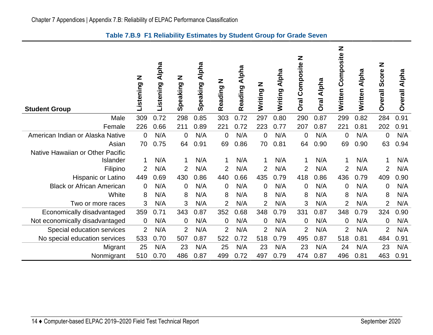<span id="page-17-0"></span>

| <b>Student Group</b>             | Z<br>Listening | <b>Alpha</b><br>Listening | Z<br>Speaking  | Alpha<br>Speaking | Z<br>Reading   | Alpha<br>Reading | N DUILLIN      | Alpha<br>Writing | Z<br>Composite<br><b>Oral</b> | <b>Alpha</b><br>Oral | Z<br>Composite<br>Written | Alpha<br>Written | Z<br>Score<br><b>Overall</b> | Alpha<br><b>Overall</b> |
|----------------------------------|----------------|---------------------------|----------------|-------------------|----------------|------------------|----------------|------------------|-------------------------------|----------------------|---------------------------|------------------|------------------------------|-------------------------|
| Male                             | 309            | 0.72                      | 298            | 0.85              | 303            | 0.72             | 297            | 0.80             | 290                           | 0.87                 | 299                       | 0.82             | 284                          | 0.91                    |
| Female                           | 226            | 0.66                      | 211            | 0.89              | 221            | 0.72             | 223            | 0.77             | 207                           | 0.87                 | 221                       | 0.81             | 202                          | 0.91                    |
| American Indian or Alaska Native | $\overline{0}$ | N/A                       | $\Omega$       | N/A               | $\overline{0}$ | N/A              | 0              | N/A              | $\overline{0}$                | N/A                  | $\mathbf 0$               | N/A              | $\overline{0}$               | N/A                     |
| Asian                            | 70             | 0.75                      | 64             | 0.91              | 69             | 0.86             | 70             | 0.81             | 64                            | 0.90                 | 69                        | 0.90             | 63                           | 0.94                    |
| Native Hawaiian or Other Pacific |                |                           |                |                   |                |                  |                |                  |                               |                      |                           |                  |                              |                         |
| Islander                         |                | N/A                       | 1              | N/A               | 1              | N/A              | 1              | N/A              | 1                             | N/A                  | 1                         | N/A              | 1                            | N/A                     |
| Filipino                         | 2              | N/A                       | 2              | N/A               | $\overline{2}$ | N/A              | 2              | N/A              | $\overline{2}$                | N/A                  | $\overline{2}$            | N/A              | $\overline{2}$               | N/A                     |
| Hispanic or Latino               | 449            | 0.69                      | 430            | 0.86              | 440            | 0.66             | 435            | 0.79             | 418                           | 0.86                 | 436                       | 0.79             | 409                          | 0.90                    |
| <b>Black or African American</b> | $\overline{0}$ | N/A                       | $\overline{0}$ | N/A               | 0              | N/A              | $\Omega$       | N/A              | $\mathbf 0$                   | N/A                  | $\overline{0}$            | N/A              | $\mathbf 0$                  | N/A                     |
| White                            | 8              | N/A                       | 8              | N/A               | 8              | N/A              | 8              | N/A              | 8                             | N/A                  | 8                         | N/A              | 8                            | N/A                     |
| Two or more races                | 3              | N/A                       | 3              | N/A               | $\overline{2}$ | N/A              | $\overline{2}$ | N/A              | 3                             | N/A                  | $\overline{2}$            | N/A              | $\overline{2}$               | N/A                     |
| Economically disadvantaged       | 359            | 0.71                      | 343            | 0.87              | 352            | 0.68             | 348            | 0.79             | 331                           | 0.87                 | 348                       | 0.79             | 324                          | 0.90                    |
| Not economically disadvantaged   | $\mathbf 0$    | N/A                       | 0              | N/A               | $\overline{0}$ | N/A              | 0              | N/A              | $\mathbf 0$                   | N/A                  | 0                         | N/A              | $\mathbf 0$                  | N/A                     |
| Special education services       | $\overline{2}$ | N/A                       | $\overline{2}$ | N/A               | 2              | N/A              | $\overline{2}$ | N/A              | 2                             | N/A                  | $\overline{2}$            | N/A              | $\overline{2}$               | N/A                     |
| No special education services    | 533            | 0.70                      | 507            | 0.87              | 522            | 0.72             | 518            | 0.79             | 495                           | 0.87                 | 518                       | 0.81             | 484                          | 0.91                    |
| Migrant                          | 25             | N/A                       | 23             | N/A               | 25             | N/A              | 23             | N/A              | 23                            | N/A                  | 24                        | N/A              | 23                           | N/A                     |
| Nonmigrant                       | 510            | 0.70                      | 486            | 0.87              | 499            | 0.72             | 497            | 0.79             | 474                           | 0.87                 | 496                       | 0.81             | 463                          | 0.91                    |

**Table 7.B.9 F1 Reliability Estimates by Student Group for Grade Seven**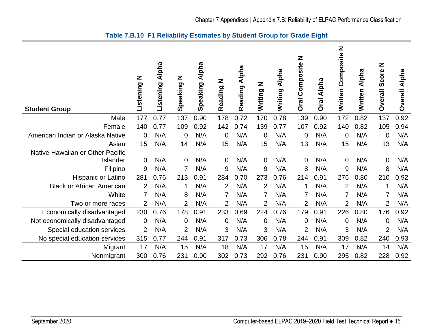<span id="page-18-0"></span>

| <b>Student Group</b>             | Z<br>Listening | <b>Alpha</b><br>Listening | Z<br>Speaking  | <b>Alpha</b><br>Speaking | Z<br>Reading   | <b>Alpha</b><br>Reading | N DUILLIN      | <b>Alpha</b><br>Writing | Z<br>Composite<br><b>Oral</b> | Alpha<br><b>Oral</b> | Z<br>Composite<br>Written | Alpha<br>Written | Z<br>Score<br><b>Dverall</b> | Alpha<br><b>Overall</b> |
|----------------------------------|----------------|---------------------------|----------------|--------------------------|----------------|-------------------------|----------------|-------------------------|-------------------------------|----------------------|---------------------------|------------------|------------------------------|-------------------------|
| Male                             | 177            | 0.77                      | 137            | 0.90                     | 178            | 0.72                    | 170            | 0.78                    | 139                           | 0.90                 | 172                       | 0.82             | 137                          | 0.92                    |
| Female                           | 140            | 0.77                      | 109            | 0.92                     | 142            | 0.74                    | 139            | 0.77                    | 107                           | 0.92                 | 140                       | 0.82             | 105                          | 0.94                    |
| American Indian or Alaska Native | $\mathbf 0$    | N/A                       | 0              | N/A                      | $\overline{0}$ | N/A                     | 0              | N/A                     | $\mathbf 0$                   | N/A                  | 0                         | N/A              | $\mathbf 0$                  | N/A                     |
| Asian                            | 15             | N/A                       | 14             | N/A                      | 15             | N/A                     | 15             | N/A                     | 13                            | N/A                  | 15                        | N/A              | 13                           | N/A                     |
| Native Hawaiian or Other Pacific |                |                           |                |                          |                |                         |                |                         |                               |                      |                           |                  |                              |                         |
| Islander                         | $\mathbf 0$    | N/A                       | 0              | N/A                      | 0              | N/A                     | $\mathbf 0$    | N/A                     | $\Omega$                      | N/A                  | 0                         | N/A              | $\mathbf 0$                  | N/A                     |
| Filipino                         | 9              | N/A                       |                | N/A                      | 9              | N/A                     | 9              | N/A                     | 8                             | N/A                  | 9                         | N/A              | 8                            | N/A                     |
| Hispanic or Latino               | 281            | 0.76                      | 213            | 0.91                     | 284            | 0.70                    | 273            | 0.76                    | 214                           | 0.91                 | 276                       | 0.80             | 210                          | 0.92                    |
| <b>Black or African American</b> | 2              | N/A                       | 1              | N/A                      | $\overline{2}$ | N/A                     | $\overline{2}$ | N/A                     | 1                             | N/A                  | 2                         | N/A              | $\mathbf 1$                  | N/A                     |
| White                            | 7              | N/A                       | 8              | N/A                      | 7              | N/A                     | 7              | N/A                     | $\overline{7}$                | N/A                  | 7                         | N/A              | $\overline{7}$               | N/A                     |
| Two or more races                | $\overline{2}$ | N/A                       | 2              | N/A                      | 2              | N/A                     | $\overline{2}$ | N/A                     | $\overline{2}$                | N/A                  | 2                         | N/A              | $\overline{2}$               | N/A                     |
| Economically disadvantaged       | 230            | 0.76                      | 178            | 0.91                     | 233            | 0.69                    | 224            | 0.76                    | 179                           | 0.91                 | 226                       | 0.80             | 176                          | 0.92                    |
| Not economically disadvantaged   | $\mathbf 0$    | N/A                       | 0              | N/A                      | $\overline{0}$ | N/A                     | $\Omega$       | N/A                     | $\mathbf 0$                   | N/A                  | 0                         | N/A              | $\overline{0}$               | N/A                     |
| Special education services       | $\overline{2}$ | N/A                       | $\overline{2}$ | N/A                      | 3              | N/A                     | 3              | N/A                     | $\overline{2}$                | N/A                  | 3                         | N/A              | $\overline{2}$               | N/A                     |
| No special education services    | 315            | 0.77                      | 244            | 0.91                     | 317            | 0.73                    | 306            | 0.78                    | 244                           | 0.91                 | 309                       | 0.82             | 240                          | 0.93                    |
| Migrant                          | 17             | N/A                       | 15             | N/A                      | 18             | N/A                     | 17             | N/A                     | 15                            | N/A                  | 17                        | N/A              | 14                           | N/A                     |
| Nonmigrant                       | 300            | 0.76                      | 231            | 0.90                     | 302            | 0.73                    | 292            | 0.76                    | 231                           | 0.90                 | 295                       | 0.82             | 228                          | 0.92                    |

**Table 7.B.10 F1 Reliability Estimates by Student Group for Grade Eight**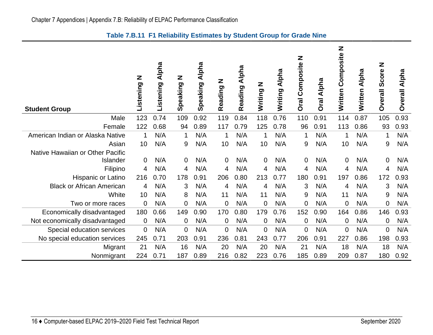<span id="page-19-0"></span>

| <b>Student Group</b>             | z<br>Listening | Alpha<br>Listening | Z<br>Speaking  | Alpha<br>Speaking | Z<br>Reading | Alpha<br>Reading | N riting | Alpha<br>Writing | Z<br>Composite<br><b>Oral</b> | Oral Alpha | Z<br>Composite<br>Written | <b>Alpha</b><br>Written | Z<br>Score<br><b>Overall</b> | Alpha<br><b>Overall</b> |
|----------------------------------|----------------|--------------------|----------------|-------------------|--------------|------------------|----------|------------------|-------------------------------|------------|---------------------------|-------------------------|------------------------------|-------------------------|
| Male                             | 123            | 0.74               | 109            | 0.92              | 119          | 0.84             | 118      | 0.76             | 110                           | 0.91       | 114                       | 0.87                    | 105                          | 0.93                    |
| Female                           | 122            | 0.68               | 94             | 0.89              | 117          | 0.79             | 125      | 0.78             | 96                            | 0.91       | 113                       | 0.86                    | 93                           | 0.93                    |
| American Indian or Alaska Native | 1              | N/A                | 1              | N/A               | 1            | N/A              | 1        | N/A              | 1                             | N/A        | 1                         | N/A                     | $\mathbf 1$                  | N/A                     |
| Asian                            | 10             | N/A                | 9              | N/A               | 10           | N/A              | 10       | N/A              | 9                             | N/A        | 10                        | N/A                     | 9                            | N/A                     |
| Native Hawaiian or Other Pacific |                |                    |                |                   |              |                  |          |                  |                               |            |                           |                         |                              |                         |
| <b>Islander</b>                  | 0              | N/A                | $\mathbf 0$    | N/A               | 0            | N/A              | $\Omega$ | N/A              | $\mathbf{0}$                  | N/A        | 0                         | N/A                     | $\mathbf 0$                  | N/A                     |
| Filipino                         | 4              | N/A                | 4              | N/A               | 4            | N/A              | 4        | N/A              | 4                             | N/A        | 4                         | N/A                     | 4                            | N/A                     |
| Hispanic or Latino               | 216            | 0.70               | 178            | 0.91              | 206          | 0.80             | 213      | 0.77             | 180                           | 0.91       | 197                       | 0.86                    | 172                          | 0.93                    |
| <b>Black or African American</b> | 4              | N/A                | 3              | N/A               | 4            | N/A              | 4        | N/A              | 3                             | N/A        | 4                         | N/A                     | 3                            | N/A                     |
| White                            | 10             | N/A                | 8              | N/A               | 11           | N/A              | 11       | N/A              | 9                             | N/A        | 11                        | N/A                     | 9                            | N/A                     |
| Two or more races                | $\mathbf 0$    | N/A                | $\overline{0}$ | N/A               | 0            | N/A              | 0        | N/A              | 0                             | N/A        | 0                         | N/A                     | $\mathbf 0$                  | N/A                     |
| Economically disadvantaged       | 180            | 0.66               | 149            | 0.90              | 170          | 0.80             | 179      | 0.76             | 152                           | 0.90       | 164                       | 0.86                    | 146                          | 0.93                    |
| Not economically disadvantaged   | $\mathbf 0$    | N/A                | $\mathbf 0$    | N/A               | 0            | N/A              | 0        | N/A              | $\mathbf 0$                   | N/A        | 0                         | N/A                     | $\mathbf 0$                  | N/A                     |
| Special education services       | $\mathbf 0$    | N/A                | $\overline{0}$ | N/A               | 0            | N/A              | 0        | N/A              | $\mathbf{0}$                  | N/A        | 0                         | N/A                     | 0                            | N/A                     |
| No special education services    | 245            | 0.71               | 203            | 0.91              | 236          | 0.81             | 243      | 0.77             | 206                           | 0.91       | 227                       | 0.86                    | 198                          | 0.93                    |
| Migrant                          | 21             | N/A                | 16             | N/A               | 20           | N/A              | 20       | N/A              | 21                            | N/A        | 18                        | N/A                     | 18                           | N/A                     |
| Nonmigrant                       | 224            | 0.71               | 187            | 0.89              | 216          | 0.82             | 223      | 0.76             | 185                           | 0.89       | 209                       | 0.87                    | 180                          | 0.92                    |

# **Table 7.B.11 F1 Reliability Estimates by Student Group for Grade Nine**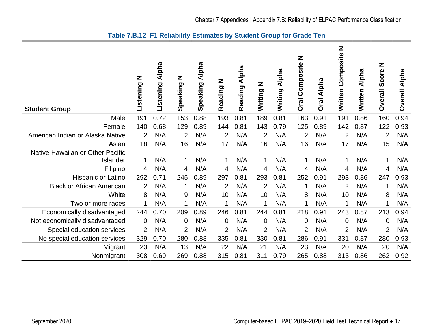<span id="page-20-0"></span>

| <b>Student Group</b>             | Z<br>Listening | <b>Alpha</b><br>Listening | Z<br>Speaking  | Alpha<br>Speaking | Z<br>Reading   | Alpha<br>Reading | N DUILLIN      | <b>Alpha</b><br>Writing | Z<br>Composite<br><b>Oral</b> | Alpha<br><b>Oral</b> | Z<br>Composite<br>Written | Alpha<br><b>Written</b> | Z<br>Score<br><b>Dverall</b> | Alpha<br><b>Overall</b> |
|----------------------------------|----------------|---------------------------|----------------|-------------------|----------------|------------------|----------------|-------------------------|-------------------------------|----------------------|---------------------------|-------------------------|------------------------------|-------------------------|
| Male                             | 191            | 0.72                      | 153            | 0.88              | 193            | 0.81             | 189            | 0.81                    | 163                           | 0.91                 | 191                       | 0.86                    | 160                          | 0.94                    |
| Female                           | 140            | 0.68                      | 129            | 0.89              | 144            | 0.81             | 143            | 0.79                    | 125                           | 0.89                 | 142                       | 0.87                    | 122                          | 0.93                    |
| American Indian or Alaska Native | 2              | N/A                       | $\overline{2}$ | N/A               | 2              | N/A              | $\overline{2}$ | N/A                     | 2                             | N/A                  | $\overline{2}$            | N/A                     | $\overline{2}$               | N/A                     |
| Asian                            | 18             | N/A                       | 16             | N/A               | 17             | N/A              | 16             | N/A                     | 16                            | N/A                  | 17                        | N/A                     | 15                           | N/A                     |
| Native Hawaiian or Other Pacific |                |                           |                |                   |                |                  |                |                         |                               |                      |                           |                         |                              |                         |
| Islander                         | 1              | N/A                       |                | N/A               | 1              | N/A              |                | N/A                     | 1                             | N/A                  | 1                         | N/A                     | 1                            | N/A                     |
| Filipino                         | 4              | N/A                       | 4              | N/A               | 4              | N/A              | 4              | N/A                     | 4                             | N/A                  | 4                         | N/A                     | 4                            | N/A                     |
| Hispanic or Latino               | 292            | 0.71                      | 245            | 0.89              | 297            | 0.81             | 293            | 0.81                    | 252                           | 0.91                 | 293                       | 0.86                    | 247                          | 0.93                    |
| <b>Black or African American</b> | 2              | N/A                       | 1              | N/A               | 2              | N/A              | $\overline{2}$ | N/A                     | 1                             | N/A                  | $\overline{2}$            | N/A                     | 1                            | N/A                     |
| White                            | 8              | N/A                       | 9              | N/A               | 10             | N/A              | 10             | N/A                     | 8                             | N/A                  | 10                        | N/A                     | 8                            | N/A                     |
| Two or more races                | 1              | N/A                       | 1              | N/A               | -1             | N/A              | 1              | N/A                     | 1                             | N/A                  | 1                         | N/A                     | 1                            | N/A                     |
| Economically disadvantaged       | 244            | 0.70                      | 209            | 0.89              | 246            | 0.81             | 244            | 0.81                    | 218                           | 0.91                 | 243                       | 0.87                    | 213                          | 0.94                    |
| Not economically disadvantaged   | $\mathbf 0$    | N/A                       | 0              | N/A               | $\overline{0}$ | N/A              | $\overline{0}$ | N/A                     | $\overline{0}$                | N/A                  | 0                         | N/A                     | $\mathbf 0$                  | N/A                     |
| Special education services       | $\overline{2}$ | N/A                       | $\overline{2}$ | N/A               | $\overline{2}$ | N/A              | $\overline{2}$ | N/A                     | $\overline{2}$                | N/A                  | $\overline{2}$            | N/A                     | $\overline{2}$               | N/A                     |
| No special education services    | 329            | 0.70                      | 280            | 0.88              | 335            | 0.81             | 330            | 0.81                    | 286                           | 0.91                 | 331                       | 0.87                    | 280                          | 0.93                    |
| Migrant                          | 23             | N/A                       | 13             | N/A               | 22             | N/A              | 21             | N/A                     | 23                            | N/A                  | 20                        | N/A                     | 20                           | N/A                     |
| Nonmigrant                       | 308            | 0.69                      | 269            | 0.88              | 315            | 0.81             | 311            | 0.79                    | 265                           | 0.88                 | 313                       | 0.86                    | 262                          | 0.92                    |

# **Table 7.B.12 F1 Reliability Estimates by Student Group for Grade Ten**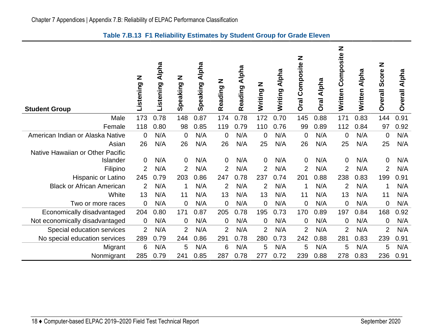<span id="page-21-0"></span>

| <b>Student Group</b>             | Z<br>Listening | <b>Alpha</b><br>Listening | Z<br>Speaking  | <b>Alpha</b><br>Speaking | Z<br>Reading   | <b>Alpha</b><br>Reading | Z<br>Writing   | <b>Alpha</b><br>Writing | Z<br><b>Oral Composite</b> | Alpha<br>Oral | Z<br>Composite<br>Written | Alpha<br>Written | Z<br>Score<br><b>Overall</b> | Alpha<br><b>Overall</b> |
|----------------------------------|----------------|---------------------------|----------------|--------------------------|----------------|-------------------------|----------------|-------------------------|----------------------------|---------------|---------------------------|------------------|------------------------------|-------------------------|
| Male                             | 173            | 0.78                      | 148            | 0.87                     | 174            | 0.78                    | 172            | 0.70                    | 145                        | 0.88          | 171                       | 0.83             | 144                          | 0.91                    |
| Female                           | 118            | 0.80                      | 98             | 0.85                     | 119            | 0.79                    | 110            | 0.76                    | 99                         | 0.89          | 112                       | 0.84             | 97                           | 0.92                    |
| American Indian or Alaska Native | 0              | N/A                       | $\mathbf 0$    | N/A                      | $\overline{0}$ | N/A                     | 0              | N/A                     | $\mathbf 0$                | N/A           | $\overline{0}$            | N/A              | $\mathbf 0$                  | N/A                     |
| Asian                            | 26             | N/A                       | 26             | N/A                      | 26             | N/A                     | 25             | N/A                     | 26                         | N/A           | 25                        | N/A              | 25                           | N/A                     |
| Native Hawaiian or Other Pacific |                |                           |                |                          |                |                         |                |                         |                            |               |                           |                  |                              |                         |
| Islander                         | $\mathbf 0$    | N/A                       | $\overline{0}$ | N/A                      | $\overline{0}$ | N/A                     | $\mathbf{0}$   | N/A                     | $\mathbf 0$                | N/A           | $\mathbf 0$               | N/A              | 0                            | N/A                     |
| Filipino                         | 2              | N/A                       | $\overline{2}$ | N/A                      | 2              | N/A                     | $\overline{2}$ | N/A                     | $\overline{2}$             | N/A           | $\overline{2}$            | N/A              | $\overline{2}$               | N/A                     |
| Hispanic or Latino               | 245            | 0.79                      | 203            | 0.86                     | 247            | 0.78                    | 237            | 0.74                    | 201                        | 0.88          | 238                       | 0.83             | 199                          | 0.91                    |
| <b>Black or African American</b> | 2              | N/A                       | -1             | N/A                      | $\overline{2}$ | N/A                     | 2              | N/A                     | 1                          | N/A           | $\overline{2}$            | N/A              | 1                            | N/A                     |
| White                            | 13             | N/A                       | 11             | N/A                      | 13             | N/A                     | 13             | N/A                     | 11                         | N/A           | 13                        | N/A              | 11                           | N/A                     |
| Two or more races                | $\mathbf 0$    | N/A                       | 0              | N/A                      | $\mathbf 0$    | N/A                     | 0              | N/A                     | 0                          | N/A           | $\mathbf 0$               | N/A              | $\overline{0}$               | N/A                     |
| Economically disadvantaged       | 204            | 0.80                      | 171            | 0.87                     | 205            | 0.78                    | 195            | 0.73                    | 170                        | 0.89          | 197                       | 0.84             | 168                          | 0.92                    |
| Not economically disadvantaged   | $\mathbf 0$    | N/A                       | 0              | N/A                      | $\overline{0}$ | N/A                     | 0              | N/A                     | 0                          | N/A           | 0                         | N/A              | $\mathbf 0$                  | N/A                     |
| Special education services       | 2              | N/A                       | $\overline{2}$ | N/A                      | $\overline{2}$ | N/A                     | $\overline{2}$ | N/A                     | $\overline{2}$             | N/A           | $\overline{2}$            | N/A              | $\overline{2}$               | N/A                     |
| No special education services    | 289            | 0.79                      | 244            | 0.86                     | 291            | 0.78                    | 280            | 0.73                    | 242                        | 0.88          | 281                       | 0.83             | 239                          | 0.91                    |
| Migrant                          | 6              | N/A                       | 5              | N/A                      | 6              | N/A                     | 5              | N/A                     | 5                          | N/A           | 5                         | N/A              | 5                            | N/A                     |
| Nonmigrant                       | 285            | 0.79                      | 241            | 0.85                     | 287            | 0.78                    | 277            | 0.72                    | 239                        | 0.88          | 278                       | 0.83             | 236                          | 0.91                    |

**Table 7.B.13 F1 Reliability Estimates by Student Group for Grade Eleven**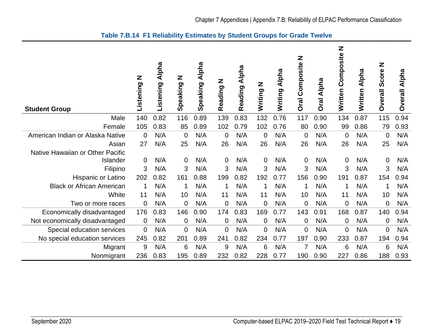<span id="page-22-1"></span><span id="page-22-0"></span>

| <b>Student Group</b>             | Z<br>Listening | <b>Alpha</b><br>Listening | Z<br>Speaking  | <b>Alpha</b><br>Speaking | Z<br>Reading   | <b>Alpha</b><br>Reading | Writing N      | <b>Alpha</b><br>Writing | Z<br>Composite<br><b>Oral</b> | Alpha<br><b>Oral</b> | Z<br>Composite<br>Written | Alpha<br>Written | Z<br>Score<br><b>Overall</b> | Alpha<br><b>Overall</b> |
|----------------------------------|----------------|---------------------------|----------------|--------------------------|----------------|-------------------------|----------------|-------------------------|-------------------------------|----------------------|---------------------------|------------------|------------------------------|-------------------------|
| Male                             | 140            | 0.82                      | 116            | 0.89                     | 139            | 0.83                    | 132            | 0.76                    | 117                           | 0.90                 | 134                       | 0.87             | 115                          | 0.94                    |
| Female                           | 105            | 0.83                      | 85             | 0.89                     | 102            | 0.79                    | 102            | 0.76                    | 80                            | 0.90                 | 99                        | 0.86             | 79                           | 0.93                    |
| American Indian or Alaska Native | $\Omega$       | N/A                       | $\overline{0}$ | N/A                      | $\overline{0}$ | N/A                     | $\overline{0}$ | N/A                     | $\overline{0}$                | N/A                  | $\overline{0}$            | N/A              | $\overline{0}$               | N/A                     |
| Asian                            | 27             | N/A                       | 25             | N/A                      | 26             | N/A                     | 26             | N/A                     | 26                            | N/A                  | 26                        | N/A              | 25                           | N/A                     |
| Native Hawaiian or Other Pacific |                |                           |                |                          |                |                         |                |                         |                               |                      |                           |                  |                              |                         |
| Islander                         | 0              | N/A                       | $\mathbf 0$    | N/A                      | $\overline{0}$ | N/A                     | 0              | N/A                     | $\mathbf 0$                   | N/A                  | $\overline{0}$            | N/A              | 0                            | N/A                     |
| Filipino                         | 3              | N/A                       | 3              | N/A                      | 3              | N/A                     | 3              | N/A                     | 3                             | N/A                  | 3                         | N/A              | 3                            | N/A                     |
| Hispanic or Latino               | 202            | 0.82                      | 161            | 0.88                     | 199            | 0.82                    | 192            | 0.77                    | 156                           | 0.90                 | 191                       | 0.87             | 154                          | 0.94                    |
| <b>Black or African American</b> |                | N/A                       | 1              | N/A                      | 1              | N/A                     | 1              | N/A                     | 1                             | N/A                  | 1                         | N/A              | 1                            | N/A                     |
| White                            | 11             | N/A                       | 10             | N/A                      | 11             | N/A                     | 11             | N/A                     | 10                            | N/A                  | 11                        | N/A              | 10                           | N/A                     |
| Two or more races                | $\mathbf 0$    | N/A                       | $\overline{0}$ | N/A                      | $\overline{0}$ | N/A                     | $\overline{0}$ | N/A                     | $\mathbf 0$                   | N/A                  | $\mathbf 0$               | N/A              | $\overline{0}$               | N/A                     |
| Economically disadvantaged       | 176            | 0.83                      | 146            | 0.90                     | 174            | 0.83                    | 169            | 0.77                    | 143                           | 0.91                 | 168                       | 0.87             | 140                          | 0.94                    |
| Not economically disadvantaged   | $\mathbf 0$    | N/A                       | $\overline{0}$ | N/A                      | $\overline{0}$ | N/A                     | 0              | N/A                     | $\mathbf 0$                   | N/A                  | $\mathbf 0$               | N/A              | $\mathbf 0$                  | N/A                     |
| Special education services       | 0              | N/A                       | 0              | N/A                      | $\mathbf 0$    | N/A                     | 0              | N/A                     | $\mathbf 0$                   | N/A                  | 0                         | N/A              | $\mathbf 0$                  | N/A                     |
| No special education services    | 245            | 0.82                      | 201            | 0.89                     | 241            | 0.82                    | 234            | 0.77                    | 197                           | 0.90                 | 233                       | 0.87             | 194                          | 0.94                    |
| Migrant                          | 9              | N/A                       | 6              | N/A                      | 9              | N/A                     | 6              | N/A                     | 7                             | N/A                  | 6                         | N/A              | 6                            | N/A                     |
| Nonmigrant                       | 236            | 0.83                      | 195            | 0.89                     | 232            | 0.82                    | 228            | 0.77                    | 190                           | 0.90                 | 227                       | 0.86             | 188                          | 0.93                    |

**Table 7.B.14 F1 Reliability Estimates by Student Groups for Grade Twelve**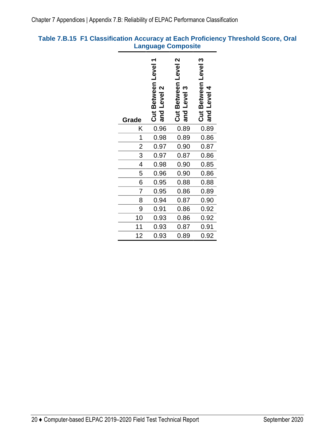# <span id="page-23-0"></span>**Table 7.B.15 F1 Classification Accuracy at Each Proficiency Threshold Score, Oral Language Composite**

| Grade         | Cut Between Level 1<br>and Level 2 | Cut Between Level 2<br>and Level 3 | Cut Between Level 3<br>and Level 4 |
|---------------|------------------------------------|------------------------------------|------------------------------------|
| Κ             | 0.96                               | 0.89                               | 0.89                               |
| 1             | 0.98                               | 0.89                               | 0.86                               |
| $\frac{2}{3}$ | 0.97                               | 0.90                               | 0.87                               |
|               | 0.97                               | 0.87                               | 0.86                               |
| 4             | 0.98                               | 0.90                               | 0.85                               |
| 5             | 0.96                               | 0.90                               | 0.86                               |
| 6             | 0.95                               | 0.88                               | 0.88                               |
| 7             | 0.95                               | 0.86                               | 0.89                               |
| 8             | 0.94                               | 0.87                               | 0.90                               |
| 9             | 0.91                               | 0.86                               | 0.92                               |
| 10            | 0.93                               | 0.86                               | 0.92                               |
| 11            | 0.93                               | 0.87                               | 0.91                               |
| 12            | 0.93                               | 0.89                               | 0.92                               |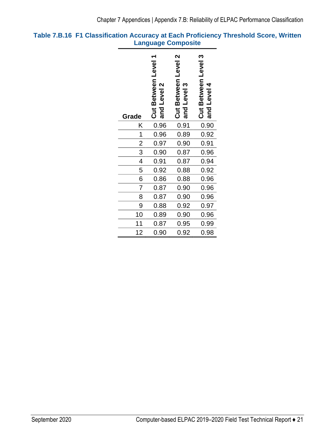# <span id="page-24-0"></span>**Table 7.B.16 F1 Classification Accuracy at Each Proficiency Threshold Score, Written Language Composite**

| Grade           | Cut Between Level 1<br>and Level 2 | Cut Between Level 2<br>and Level 3 | Cut Between Level 3<br>and Level 4 |
|-----------------|------------------------------------|------------------------------------|------------------------------------|
| Κ               | 0.96                               | 0.91                               | 0.90                               |
| $\mathbf 1$     | 0.96                               | 0.89                               | 0.92                               |
| $\frac{2}{3}$   | 0.97                               | 0.90                               | 0.91                               |
|                 | 0.90                               | 0.87                               | 0.96                               |
| $\overline{4}$  | 0.91                               | 0.87                               | 0.94                               |
| 5               | 0.92                               | 0.88                               | 0.92                               |
| $\overline{6}$  | 0.86                               | 0.88                               | 0.96                               |
| 7               | 0.87                               | 0.90                               | 0.96                               |
| 8               | 0.87                               | 0.90                               | 0.96                               |
| 9               | 0.88                               | 0.92                               | 0.97                               |
| 10              | 0.89                               | 0.90                               | 0.96                               |
| $\overline{11}$ | 0.87                               | 0.95                               | 0.99                               |
| 12              | 0.90                               | 0.92                               | 0.98                               |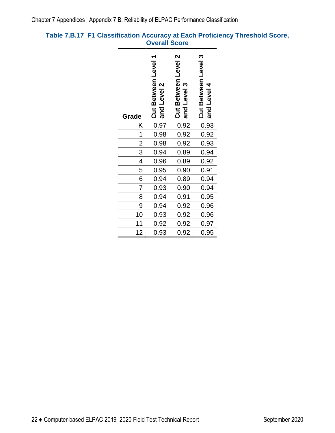# <span id="page-25-0"></span>**Table 7.B.17 F1 Classification Accuracy at Each Proficiency Threshold Score, Overall Score**

| Grade           | Cut Between Level 1<br>and Level 2 | Cut Between Level 2<br>and Level 3 | Cut Between Level 3<br>and Level 4 |
|-----------------|------------------------------------|------------------------------------|------------------------------------|
| Κ               | 0.97                               | 0.92                               | 0.93                               |
| $\mathbf 1$     | 0.98                               | 0.92                               | 0.92                               |
| $\frac{2}{3}$   | 0.98                               | 0.92                               | 0.93                               |
|                 | 0.94                               | 0.89                               | 0.94                               |
| $\overline{4}$  | 0.96                               | 0.89                               | 0.92                               |
| 5               | 0.95                               | 0.90                               | 0.91                               |
| 6               | 0.94                               | 0.89                               | 0.94                               |
| $\overline{7}$  | 0.93                               | 0.90                               | 0.94                               |
| 8               | 0.94                               | 0.91                               | 0.95                               |
| 9               | 0.94                               | 0.92                               | 0.96                               |
| 10              | 0.93                               | 0.92                               | 0.96                               |
| $\overline{11}$ | 0.92                               | 0.92                               | 0.97                               |
| 12              | 0.93                               | 0.92                               | 0.95                               |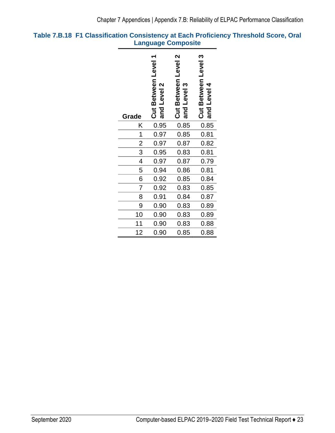# <span id="page-26-0"></span>**Table 7.B.18 F1 Classification Consistency at Each Proficiency Threshold Score, Oral Language Composite**

| Grade          | Cut Between Level 1<br>and Level 2 | Cut Between Level 2<br>and Level 3 | Cut Between Level 3<br>and Level 4 |
|----------------|------------------------------------|------------------------------------|------------------------------------|
| Κ              | 0.95                               | 0.85                               | 0.85                               |
| 1              | 0.97                               | 0.85                               | 0.81                               |
| $\overline{2}$ | 0.97                               | 0.87                               | 0.82                               |
| 3              | 0.95                               | 0.83                               | 0.81                               |
| $\overline{4}$ | 0.97                               | 0.87                               | 0.79                               |
| 5              | 0.94                               | 0.86                               | 0.81                               |
| 6              | 0.92                               | 0.85                               | 0.84                               |
| 7              | 0.92                               | 0.83                               | 0.85                               |
| 8              | 0.91                               | 0.84                               | 0.87                               |
| 9              | 0.90                               | 0.83                               | 0.89                               |
| 10             | 0.90                               | 0.83                               | 0.89                               |
| 11             | 0.90                               | 0.83                               | 0.88                               |
| 12             | 0.90                               | 0.85                               | 0.88                               |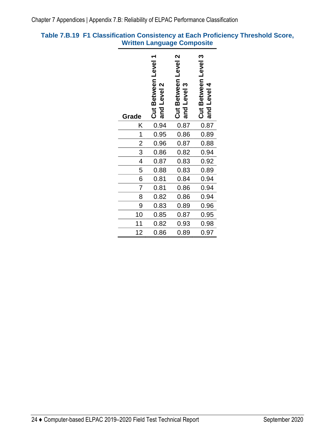# <span id="page-27-0"></span>**Table 7.B.19 F1 Classification Consistency at Each Proficiency Threshold Score, Written Language Composite**

| Grade          | ٣<br>Cut Between Level<br>and Level 2 | Cut Between Level 2<br>and Level 3 | Cut Between Level 3<br>and Level 4 |
|----------------|---------------------------------------|------------------------------------|------------------------------------|
| Κ              | 0.94                                  | 0.87                               | 0.87                               |
| 1              | 0.95                                  | 0.86                               | 0.89                               |
| $\overline{2}$ | 0.96                                  | 0.87                               | 0.88                               |
| 3              | 0.86                                  | 0.82                               | 0.94                               |
| $\overline{4}$ | 0.87                                  | 0.83                               | 0.92                               |
| 5              | 0.88                                  | 0.83                               | 0.89                               |
| $\overline{6}$ | 0.81                                  | 0.84                               | 0.94                               |
| $\overline{7}$ | 0.81                                  | 0.86                               | 0.94                               |
| 8              | 0.82                                  | 0.86                               | 0.94                               |
| 9              | 0.83                                  | 0.89                               | 0.96                               |
| 10             | 0.85                                  | 0.87                               | 0.95                               |
| 11             | 0.82                                  | 0.93                               | 0.98                               |
| 12             | 0.86                                  | 0.89                               | 0.97                               |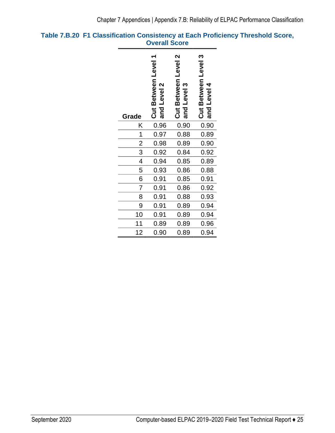# <span id="page-28-0"></span>**Table 7.B.20 F1 Classification Consistency at Each Proficiency Threshold Score, Overall Score**

| Grade          | Cut Between Level 1<br>and Level 2 | Cut Between Level 2<br>and Level 3 | Cut Between Level 3<br>and Level 4 |
|----------------|------------------------------------|------------------------------------|------------------------------------|
| Κ              | 0.96                               | 0.90                               | 0.90                               |
| 1              | 0.97                               | 0.88                               | 0.89                               |
| $\overline{2}$ | 0.98                               | 0.89                               | 0.90                               |
| 3              | 0.92                               | 0.84                               | 0.92                               |
| $\overline{4}$ | 0.94                               | 0.85                               | 0.89                               |
| 5              | 0.93                               | 0.86                               | 0.88                               |
| 6              | 0.91                               | 0.85                               | 0.91                               |
| $\overline{7}$ | 0.91                               | 0.86                               | 0.92                               |
| 8              | 0.91                               | 0.88                               | 0.93                               |
| 9              | 0.91                               | 0.89                               | 0.94                               |
| 10             | 0.91                               | 0.89                               | 0.94                               |
| 11             | 0.89                               | 0.89                               | 0.96                               |
| 12             | 0.90                               | 0.89                               | 0.94                               |